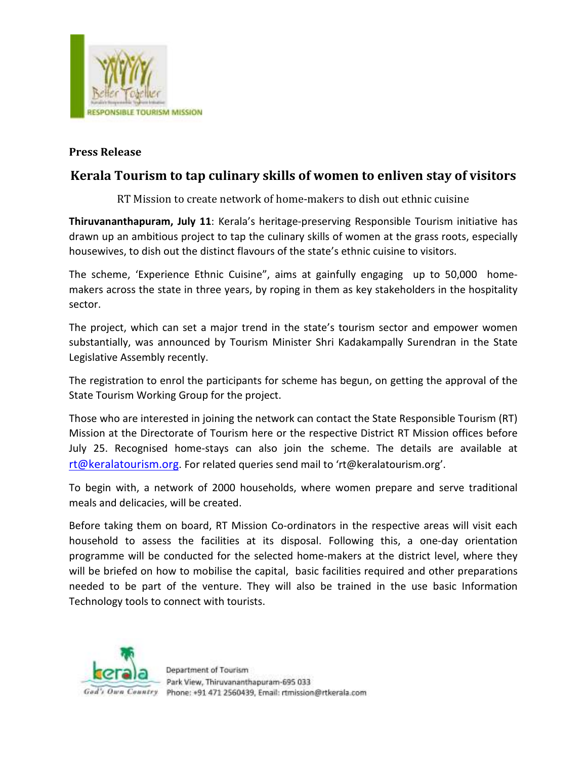

## **Press Release**

## **Kerala Tourism to tap culinary skills of women to enliven stay of visitors**

RT Mission to create network of home-makers to dish out ethnic cuisine

**Thiruvananthapuram, July 11**: Kerala's heritage-preserving Responsible Tourism initiative has drawn up an ambitious project to tap the culinary skills of women at the grass roots, especially housewives, to dish out the distinct flavours of the state's ethnic cuisine to visitors.

The scheme, 'Experience Ethnic Cuisine", aims at gainfully engaging up to 50,000 homemakers across the state in three years, by roping in them as key stakeholders in the hospitality sector.

The project, which can set a major trend in the state's tourism sector and empower women substantially, was announced by Tourism Minister Shri Kadakampally Surendran in the State Legislative Assembly recently.

The registration to enrol the participants for scheme has begun, on getting the approval of the State Tourism Working Group for the project.

Those who are interested in joining the network can contact the State Responsible Tourism (RT) Mission at the Directorate of Tourism here or the respective District RT Mission offices before July 25. Recognised home-stays can also join the scheme. The details are available at rt@keralatourism.org. For related queries send mail to 'rt@keralatourism.org'.

To begin with, a network of 2000 households, where women prepare and serve traditional meals and delicacies, will be created.

Before taking them on board, RT Mission Co-ordinators in the respective areas will visit each household to assess the facilities at its disposal. Following this, a one-day orientation programme will be conducted for the selected home-makers at the district level, where they will be briefed on how to mobilise the capital, basic facilities required and other preparations needed to be part of the venture. They will also be trained in the use basic Information Technology tools to connect with tourists.